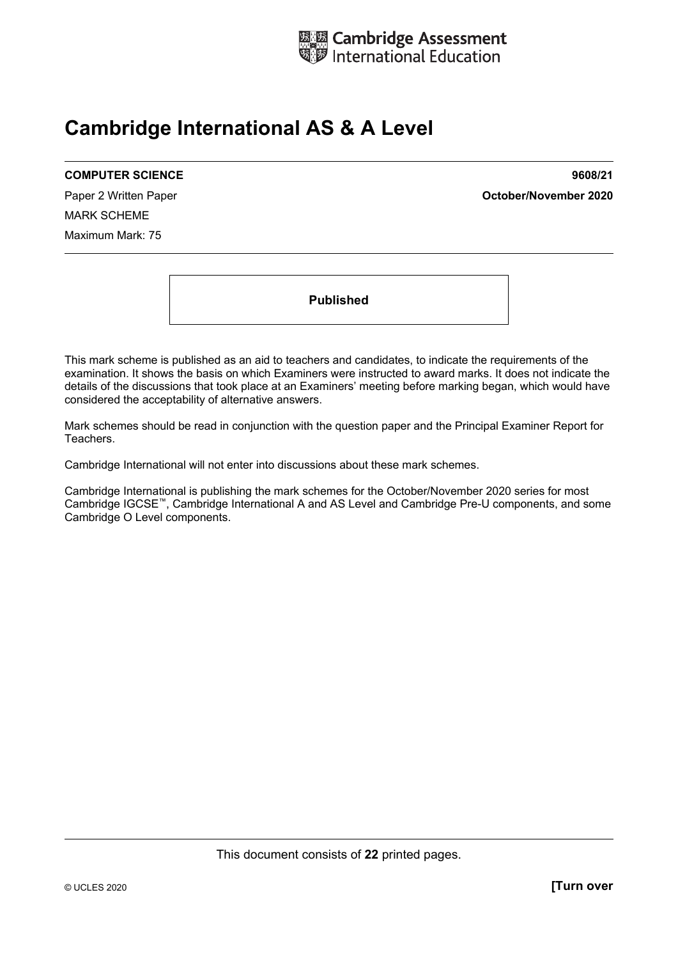

# **Cambridge International AS & A Level**

#### **COMPUTER SCIENCE 9608/21**

MARK SCHEME Maximum Mark: 75

Paper 2 Written Paper **October/November 2020**

**Published** 

This mark scheme is published as an aid to teachers and candidates, to indicate the requirements of the examination. It shows the basis on which Examiners were instructed to award marks. It does not indicate the details of the discussions that took place at an Examiners' meeting before marking began, which would have considered the acceptability of alternative answers.

Mark schemes should be read in conjunction with the question paper and the Principal Examiner Report for Teachers.

Cambridge International will not enter into discussions about these mark schemes.

Cambridge International is publishing the mark schemes for the October/November 2020 series for most Cambridge IGCSE™, Cambridge International A and AS Level and Cambridge Pre-U components, and some Cambridge O Level components.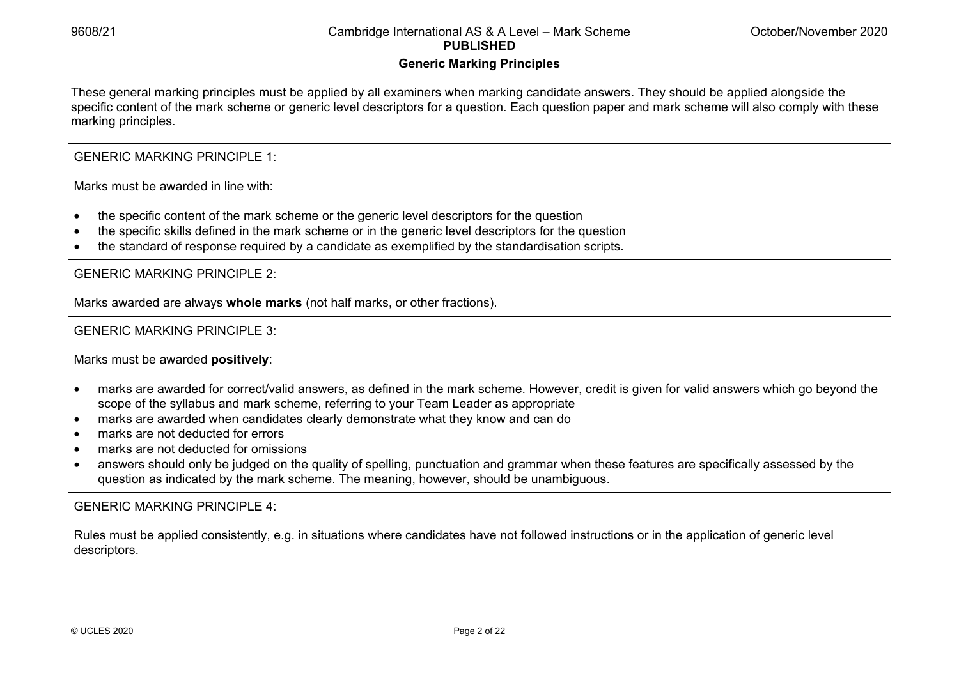## **Generic Marking Principles**

These general marking principles must be applied by all examiners when marking candidate answers. They should be applied alongside the specific content of the mark scheme or generic level descriptors for a question. Each question paper and mark scheme will also comply with these marking principles.

GENERIC MARKING PRINCIPLE 1:

Marks must be awarded in line with:

- the specific content of the mark scheme or the generic level descriptors for the question
- the specific skills defined in the mark scheme or in the generic level descriptors for the question
- the standard of response required by a candidate as exemplified by the standardisation scripts.

GENERIC MARKING PRINCIPLE 2:

Marks awarded are always **whole marks** (not half marks, or other fractions).

GENERIC MARKING PRINCIPLE 3:

Marks must be awarded **positively**:

- marks are awarded for correct/valid answers, as defined in the mark scheme. However, credit is given for valid answers which go beyond the scope of the syllabus and mark scheme, referring to your Team Leader as appropriate
- marks are awarded when candidates clearly demonstrate what they know and can do
- marks are not deducted for errors
- marks are not deducted for omissions
- answers should only be judged on the quality of spelling, punctuation and grammar when these features are specifically assessed by the question as indicated by the mark scheme. The meaning, however, should be unambiguous.

GENERIC MARKING PRINCIPLE 4:

Rules must be applied consistently, e.g. in situations where candidates have not followed instructions or in the application of generic level descriptors.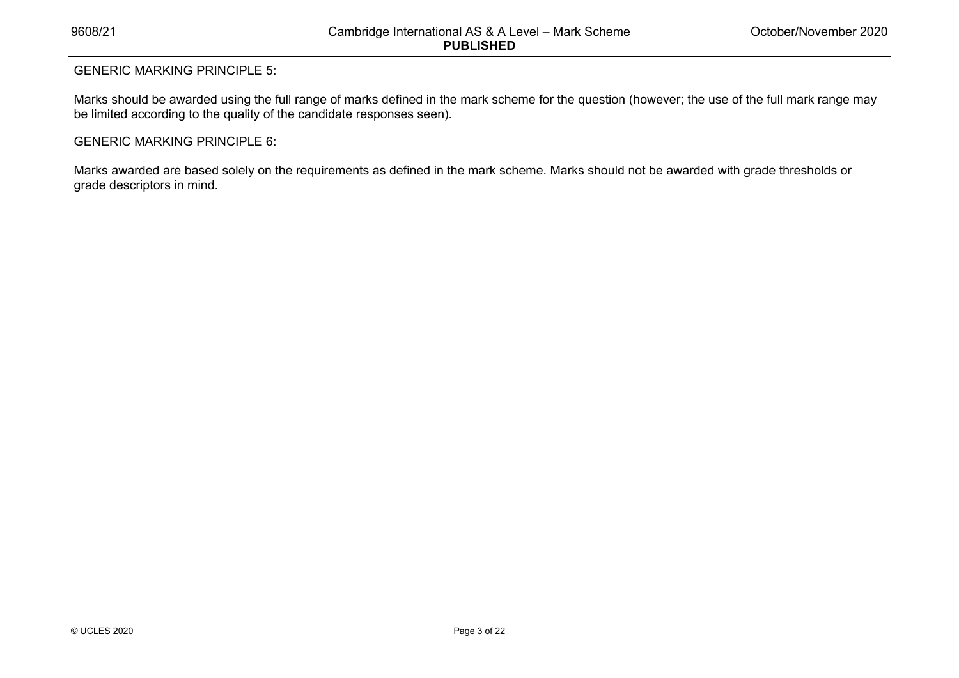## GENERIC MARKING PRINCIPLE 5:

Marks should be awarded using the full range of marks defined in the mark scheme for the question (however; the use of the full mark range may be limited according to the quality of the candidate responses seen).

### GENERIC MARKING PRINCIPLE 6:

Marks awarded are based solely on the requirements as defined in the mark scheme. Marks should not be awarded with grade thresholds or grade descriptors in mind.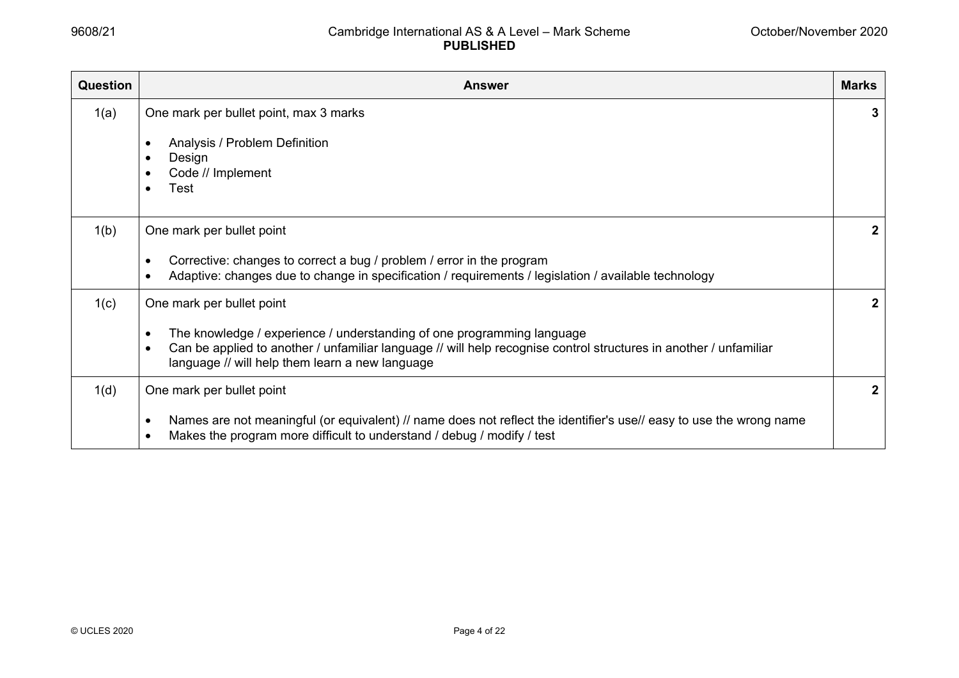| <b>Question</b> | <b>Answer</b>                                                                                                                                                                                                                                                               | <b>Marks</b> |
|-----------------|-----------------------------------------------------------------------------------------------------------------------------------------------------------------------------------------------------------------------------------------------------------------------------|--------------|
| 1(a)            | One mark per bullet point, max 3 marks<br>Analysis / Problem Definition<br>Design<br>Code // Implement<br>Test                                                                                                                                                              | 3            |
| 1(b)            | One mark per bullet point<br>Corrective: changes to correct a bug / problem / error in the program<br>Adaptive: changes due to change in specification / requirements / legislation / available technology<br>$\bullet$                                                     | $\mathbf{2}$ |
| 1(c)            | One mark per bullet point<br>The knowledge / experience / understanding of one programming language<br>Can be applied to another / unfamiliar language // will help recognise control structures in another / unfamiliar<br>language // will help them learn a new language | $\mathbf{2}$ |
| 1(d)            | One mark per bullet point<br>Names are not meaningful (or equivalent) // name does not reflect the identifier's use// easy to use the wrong name<br>$\bullet$<br>Makes the program more difficult to understand / debug / modify / test                                     | $\mathbf{2}$ |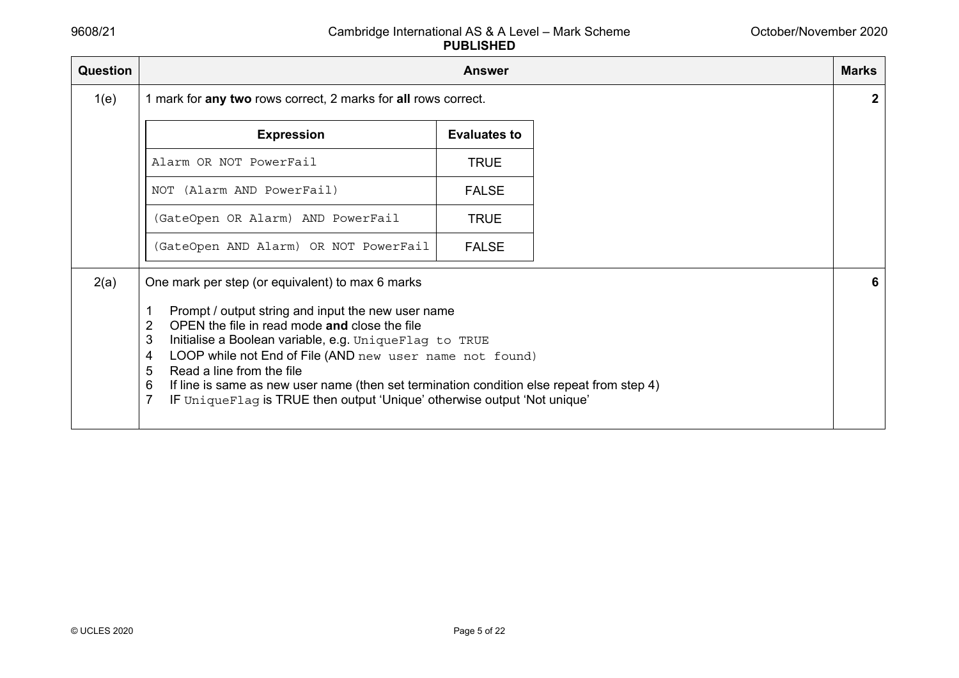| <b>Question</b> |                                                                                                                                                                                                                                                                                                                                                                                                                                                                                                               | <b>Answer</b>       | <b>Marks</b> |
|-----------------|---------------------------------------------------------------------------------------------------------------------------------------------------------------------------------------------------------------------------------------------------------------------------------------------------------------------------------------------------------------------------------------------------------------------------------------------------------------------------------------------------------------|---------------------|--------------|
| 1(e)            | 1 mark for any two rows correct, 2 marks for all rows correct.                                                                                                                                                                                                                                                                                                                                                                                                                                                |                     |              |
|                 | <b>Expression</b>                                                                                                                                                                                                                                                                                                                                                                                                                                                                                             | <b>Evaluates to</b> |              |
|                 | Alarm OR NOT PowerFail                                                                                                                                                                                                                                                                                                                                                                                                                                                                                        | <b>TRUE</b>         |              |
|                 | NOT (Alarm AND PowerFail)                                                                                                                                                                                                                                                                                                                                                                                                                                                                                     | <b>FALSE</b>        |              |
|                 | (GateOpen OR Alarm) AND PowerFail                                                                                                                                                                                                                                                                                                                                                                                                                                                                             | <b>TRUE</b>         |              |
|                 | (GateOpen AND Alarm) OR NOT PowerFail                                                                                                                                                                                                                                                                                                                                                                                                                                                                         | <b>FALSE</b>        |              |
| 2(a)            | One mark per step (or equivalent) to max 6 marks<br>Prompt / output string and input the new user name<br>OPEN the file in read mode and close the file<br>2<br>3<br>Initialise a Boolean variable, e.g. UniqueFlag to TRUE<br>LOOP while not End of File (AND new user name not found)<br>4<br>Read a line from the file<br>5<br>If line is same as new user name (then set termination condition else repeat from step 4)<br>6<br>IF Unique Flag is TRUE then output 'Unique' otherwise output 'Not unique' |                     | 6            |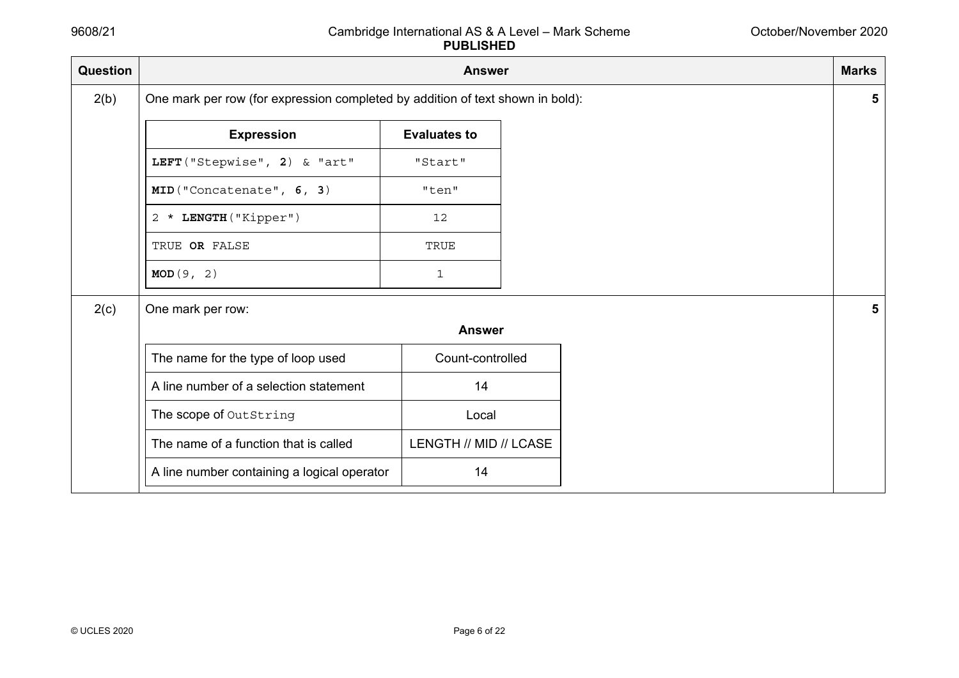| Question | <b>Answer</b>                                                                  |                        |  | <b>Marks</b> |
|----------|--------------------------------------------------------------------------------|------------------------|--|--------------|
| 2(b)     | One mark per row (for expression completed by addition of text shown in bold): |                        |  |              |
|          | <b>Expression</b>                                                              | <b>Evaluates to</b>    |  |              |
|          | LEFT ("Stepwise", 2) & "art"                                                   | "Start"                |  |              |
|          | MID("Concatenate", 6, 3)                                                       | "ten"                  |  |              |
|          | 2 * LENGTH ("Kipper")                                                          | 12                     |  |              |
|          | TRUE OR FALSE                                                                  | TRUE                   |  |              |
|          | MOD(9, 2)                                                                      | 1                      |  |              |
| 2(c)     | One mark per row:                                                              |                        |  |              |
|          |                                                                                | <b>Answer</b>          |  |              |
|          | The name for the type of loop used                                             | Count-controlled       |  |              |
|          | A line number of a selection statement                                         | 14                     |  |              |
|          | The scope of OutString                                                         | Local                  |  |              |
|          | The name of a function that is called                                          | LENGTH // MID // LCASE |  |              |
|          | A line number containing a logical operator                                    | 14                     |  |              |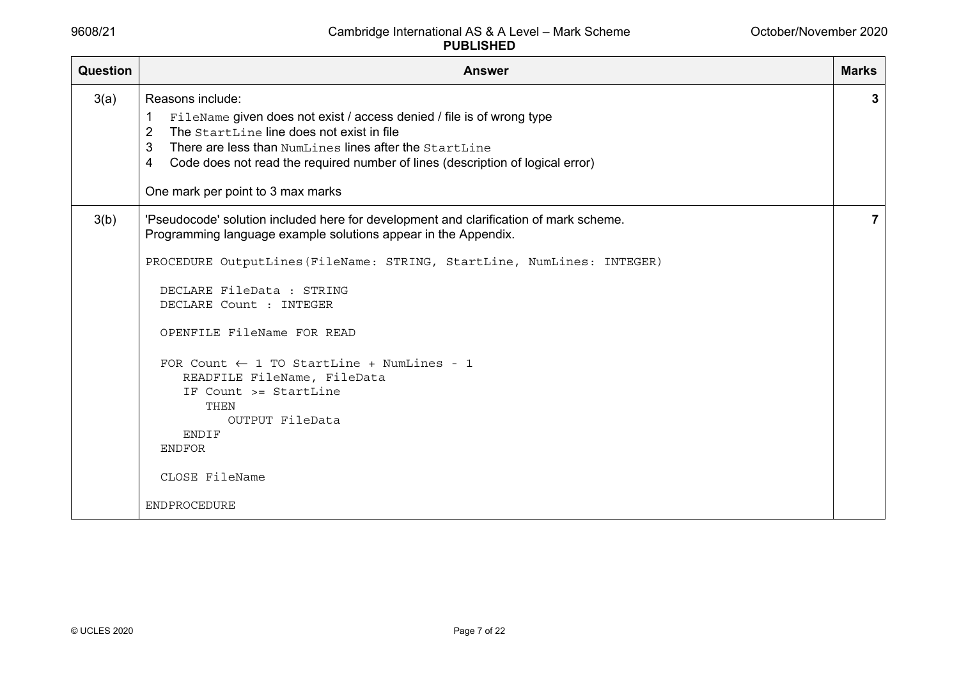| <b>Question</b> | <b>Answer</b>                                                                                                                                                                                                                                                                                                                                                                                                                                                                                                                         | <b>Marks</b> |
|-----------------|---------------------------------------------------------------------------------------------------------------------------------------------------------------------------------------------------------------------------------------------------------------------------------------------------------------------------------------------------------------------------------------------------------------------------------------------------------------------------------------------------------------------------------------|--------------|
| 3(a)            | Reasons include:<br>FileName given does not exist / access denied / file is of wrong type<br>1<br>The StartLine line does not exist in file<br>$\overline{2}$<br>3<br>There are less than NumLines lines after the StartLine<br>Code does not read the required number of lines (description of logical error)<br>4<br>One mark per point to 3 max marks                                                                                                                                                                              | 3            |
| 3(b)            | 'Pseudocode' solution included here for development and clarification of mark scheme.<br>Programming language example solutions appear in the Appendix.<br>PROCEDURE OutputLines (FileName: STRING, StartLine, NumLines: INTEGER)<br>DECLARE FileData : STRING<br>DECLARE Count : INTEGER<br>OPENFILE FileName FOR READ<br>FOR Count $\leftarrow$ 1 TO StartLine + NumLines - 1<br>READFILE FileName, FileData<br>IF Count >= StartLine<br>THEN<br>OUTPUT FileData<br><b>ENDIF</b><br><b>ENDFOR</b><br>CLOSE FileName<br>ENDPROCEDURE | 7            |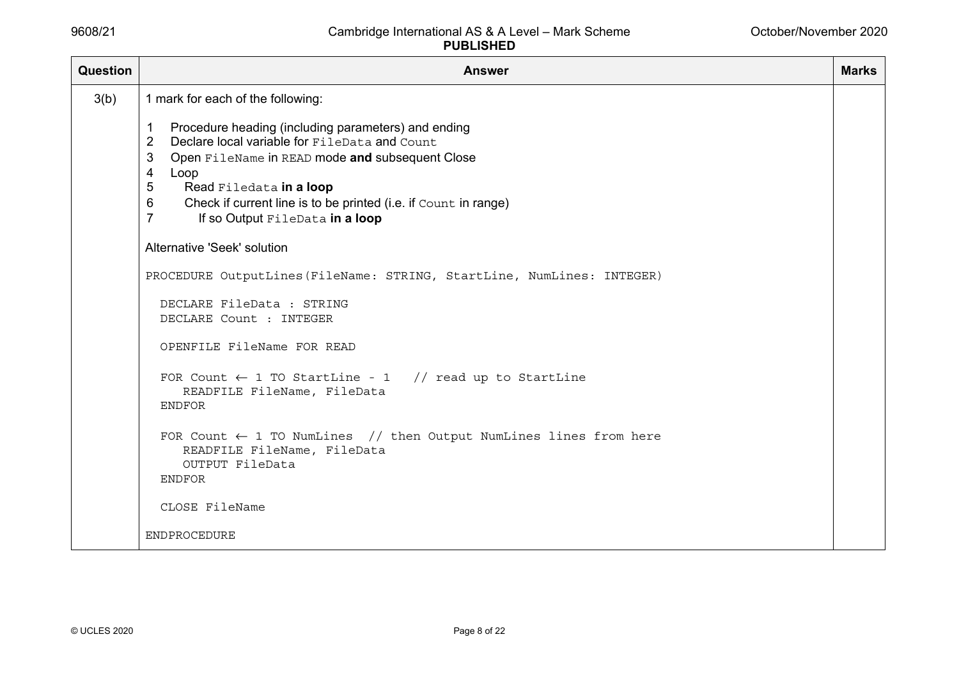| Question | <b>Answer</b>                                                                                                                                        | <b>Marks</b> |
|----------|------------------------------------------------------------------------------------------------------------------------------------------------------|--------------|
| 3(b)     | 1 mark for each of the following:<br>Procedure heading (including parameters) and ending<br>-1<br>Declare local variable for FileData and Count<br>2 |              |
|          | 3<br>Open FileName in READ mode and subsequent Close<br>4<br>Loop<br>5<br>Read Filedata in a loop                                                    |              |
|          | Check if current line is to be printed (i.e. if Count in range)<br>6<br>$\overline{7}$<br>If so Output FileData in a loop                            |              |
|          | Alternative 'Seek' solution                                                                                                                          |              |
|          | PROCEDURE OutputLines (FileName: STRING, StartLine, NumLines: INTEGER)                                                                               |              |
|          | DECLARE FileData : STRING<br>DECLARE Count : INTEGER                                                                                                 |              |
|          | OPENFILE FileName FOR READ                                                                                                                           |              |
|          | FOR Count $\leftarrow$ 1 TO StartLine - 1 // read up to StartLine<br>READFILE FileName, FileData<br><b>ENDFOR</b>                                    |              |
|          | FOR Count $\leftarrow$ 1 TO NumLines // then Output NumLines lines from here<br>READFILE FileName, FileData<br>OUTPUT FileData                       |              |
|          | <b>ENDFOR</b>                                                                                                                                        |              |
|          | CLOSE FileName                                                                                                                                       |              |
|          | <b>ENDPROCEDURE</b>                                                                                                                                  |              |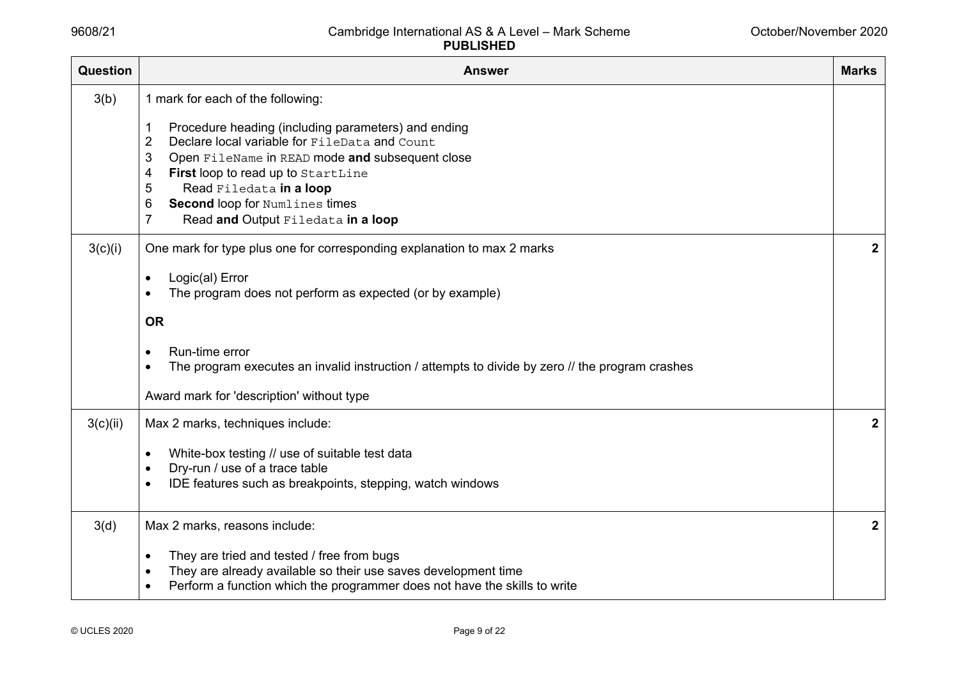| <b>Question</b> | <b>Answer</b>                                                                                                                                                                                                                                                                                                                                                                           | <b>Marks</b>     |
|-----------------|-----------------------------------------------------------------------------------------------------------------------------------------------------------------------------------------------------------------------------------------------------------------------------------------------------------------------------------------------------------------------------------------|------------------|
| 3(b)            | 1 mark for each of the following:<br>Procedure heading (including parameters) and ending<br>Declare local variable for FileData and Count<br>2<br>3<br>Open FileName in READ mode and subsequent close<br>First loop to read up to StartLine<br>4<br>5<br>Read Filedata in a loop<br><b>Second loop for Numlines times</b><br>6<br>$\overline{7}$<br>Read and Output Filedata in a loop |                  |
| 3(c)(i)         | One mark for type plus one for corresponding explanation to max 2 marks<br>Logic(al) Error<br>The program does not perform as expected (or by example)<br><b>OR</b><br>Run-time error<br>The program executes an invalid instruction / attempts to divide by zero // the program crashes<br>Award mark for 'description' without type                                                   | $\boldsymbol{2}$ |
| 3(c)(ii)        | Max 2 marks, techniques include:<br>White-box testing // use of suitable test data<br>Dry-run / use of a trace table<br>IDE features such as breakpoints, stepping, watch windows                                                                                                                                                                                                       | $\mathbf{2}$     |
| 3(d)            | Max 2 marks, reasons include:<br>They are tried and tested / free from bugs<br>They are already available so their use saves development time<br>Perform a function which the programmer does not have the skills to write                                                                                                                                                              | $\boldsymbol{2}$ |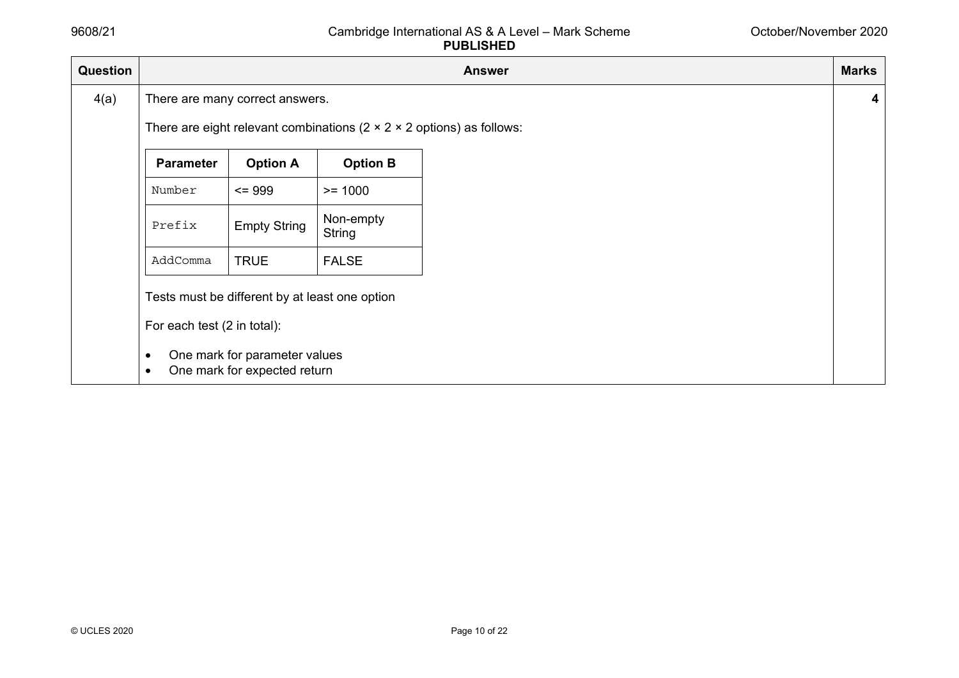| Question |                                                       |                                                                                                                 |                                                                                    | <b>Answer</b> | <b>Marks</b> |
|----------|-------------------------------------------------------|-----------------------------------------------------------------------------------------------------------------|------------------------------------------------------------------------------------|---------------|--------------|
| 4(a)     |                                                       | There are many correct answers.                                                                                 |                                                                                    |               | 4            |
|          |                                                       |                                                                                                                 | There are eight relevant combinations ( $2 \times 2 \times 2$ options) as follows: |               |              |
|          | <b>Parameter</b>                                      | <b>Option A</b>                                                                                                 | <b>Option B</b>                                                                    |               |              |
|          | Number                                                | $= 999$                                                                                                         | $>= 1000$                                                                          |               |              |
|          | Prefix                                                | <b>Empty String</b>                                                                                             | Non-empty<br>String                                                                |               |              |
|          | AddComma                                              | <b>TRUE</b>                                                                                                     | <b>FALSE</b>                                                                       |               |              |
|          | For each test (2 in total):<br>$\bullet$<br>$\bullet$ | Tests must be different by at least one option<br>One mark for parameter values<br>One mark for expected return |                                                                                    |               |              |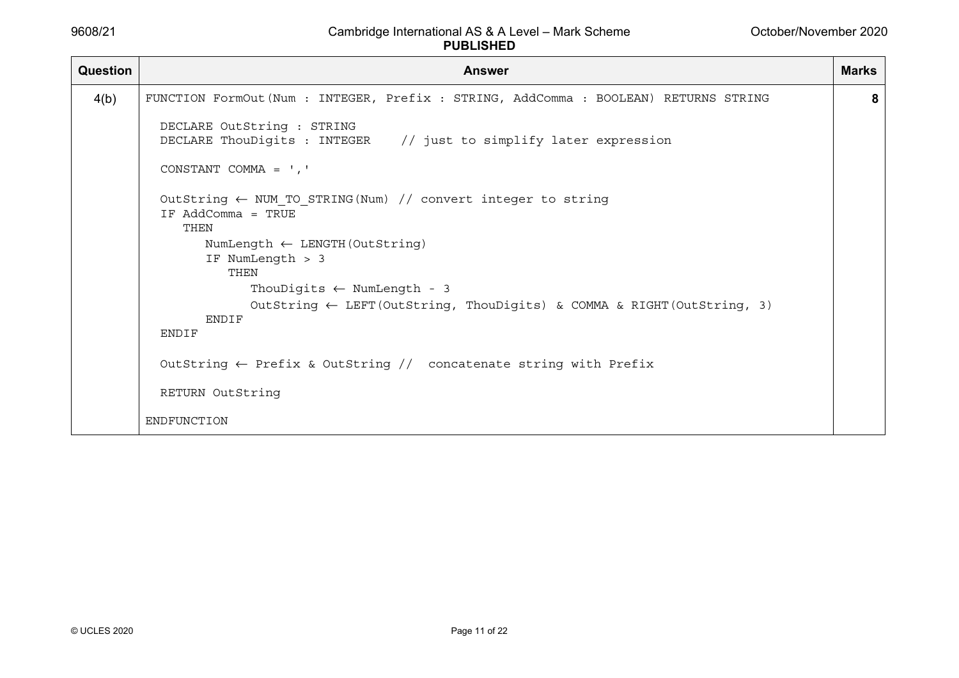| Question | <b>Answer</b>                                                                                         | <b>Marks</b> |
|----------|-------------------------------------------------------------------------------------------------------|--------------|
| 4(b)     | FUNCTION FormOut (Num : INTEGER, Prefix : STRING, AddComma : BOOLEAN) RETURNS STRING                  | 8            |
|          | DECLARE OutString : STRING<br>DECLARE ThouDigits : INTEGER // just to simplify later expression       |              |
|          | CONSTANT COMMA = $\prime$ , $\prime$                                                                  |              |
|          | OutString $\leftarrow$ NUM TO STRING (Num) // convert integer to string<br>IF AddComma = TRUE<br>THEN |              |
|          | NumLength $\leftarrow$ LENGTH (OutString)<br>IF NumLength > 3<br>THEN                                 |              |
|          | ThouDigits $\leftarrow$ NumLength - 3                                                                 |              |
|          | OutString $\leftarrow$ LEFT (OutString, ThouDigits) & COMMA & RIGHT (OutString, 3)<br><b>ENDIF</b>    |              |
|          | ENDIF                                                                                                 |              |
|          | OutString $\leftarrow$ Prefix & OutString // concatenate string with Prefix                           |              |
|          | RETURN OutString                                                                                      |              |
|          | ENDFUNCTION                                                                                           |              |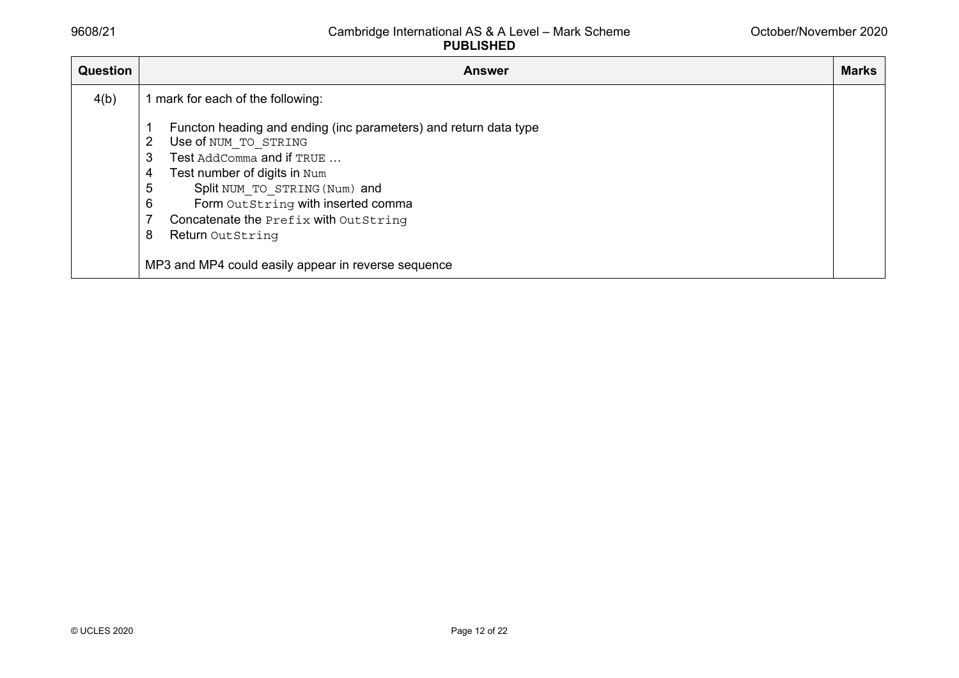| <b>Question</b> | <b>Answer</b>                                                                                                                                                                                                                                                                                                                                                                  | <b>Marks</b> |
|-----------------|--------------------------------------------------------------------------------------------------------------------------------------------------------------------------------------------------------------------------------------------------------------------------------------------------------------------------------------------------------------------------------|--------------|
| 4(b)            | 1 mark for each of the following:                                                                                                                                                                                                                                                                                                                                              |              |
|                 | Functon heading and ending (inc parameters) and return data type<br>Use of NUM TO STRING<br>2<br>Test AddComma and if TRUE<br>3<br>Test number of digits in Num<br>4<br>5<br>Split NUM TO STRING (Num) and<br>6<br>Form OutString with inserted comma<br>Concatenate the Prefix with OutString<br>8<br>Return OutString<br>MP3 and MP4 could easily appear in reverse sequence |              |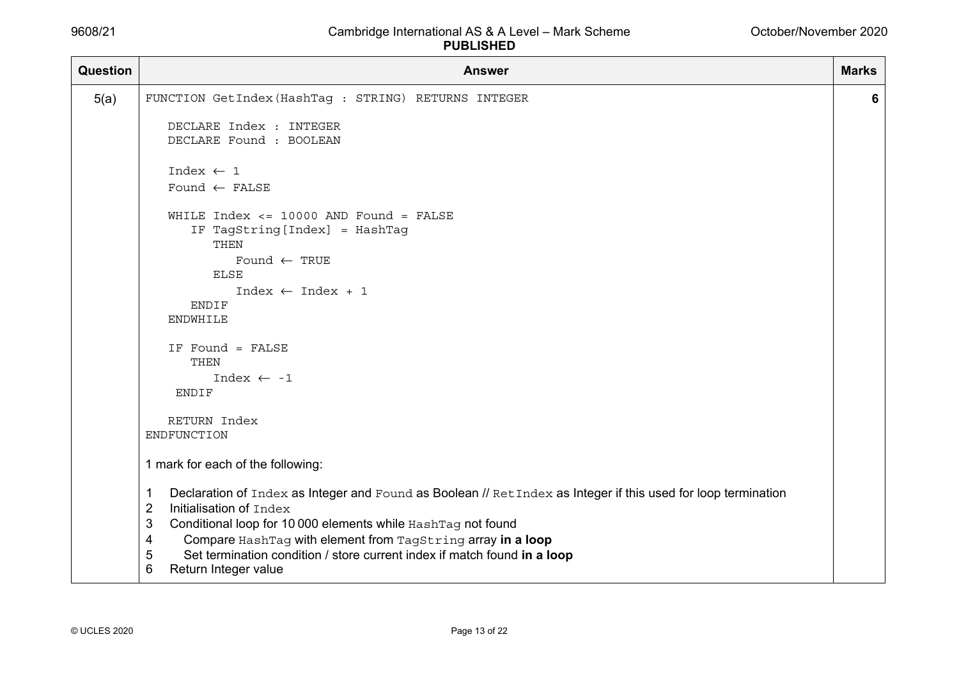| <b>Question</b> | <b>Answer</b>                                                                                                                                                                                                                                                                                                                                                                                                           | <b>Marks</b> |
|-----------------|-------------------------------------------------------------------------------------------------------------------------------------------------------------------------------------------------------------------------------------------------------------------------------------------------------------------------------------------------------------------------------------------------------------------------|--------------|
| 5(a)            | FUNCTION GetIndex (HashTag : STRING) RETURNS INTEGER                                                                                                                                                                                                                                                                                                                                                                    | 6            |
|                 | DECLARE Index : INTEGER<br>DECLARE Found : BOOLEAN                                                                                                                                                                                                                                                                                                                                                                      |              |
|                 | Index $\leftarrow$ 1                                                                                                                                                                                                                                                                                                                                                                                                    |              |
|                 | Found $\leftarrow$ FALSE                                                                                                                                                                                                                                                                                                                                                                                                |              |
|                 | WHILE $Index \le 10000$ AND $Found = FALSE$<br>IF TagString [Index] = HashTag<br>THEN<br>Found $\leftarrow$ TRUE<br><b>ELSE</b><br>$Index \leftarrow Index + 1$<br>ENDIF<br><b>ENDWHILE</b><br>IF Found = FALSE<br>THEN<br>Index $\leftarrow -1$<br><b>ENDIF</b>                                                                                                                                                        |              |
|                 | RETURN Index                                                                                                                                                                                                                                                                                                                                                                                                            |              |
|                 | ENDFUNCTION                                                                                                                                                                                                                                                                                                                                                                                                             |              |
|                 | 1 mark for each of the following:                                                                                                                                                                                                                                                                                                                                                                                       |              |
|                 | Declaration of Index as Integer and Found as Boolean // RetIndex as Integer if this used for loop termination<br>-1<br>$\overline{2}$<br>Initialisation of Index<br>3<br>Conditional loop for 10 000 elements while HashTag not found<br>Compare HashTag with element from TagString array in a loop<br>4<br>5<br>Set termination condition / store current index if match found in a loop<br>6<br>Return Integer value |              |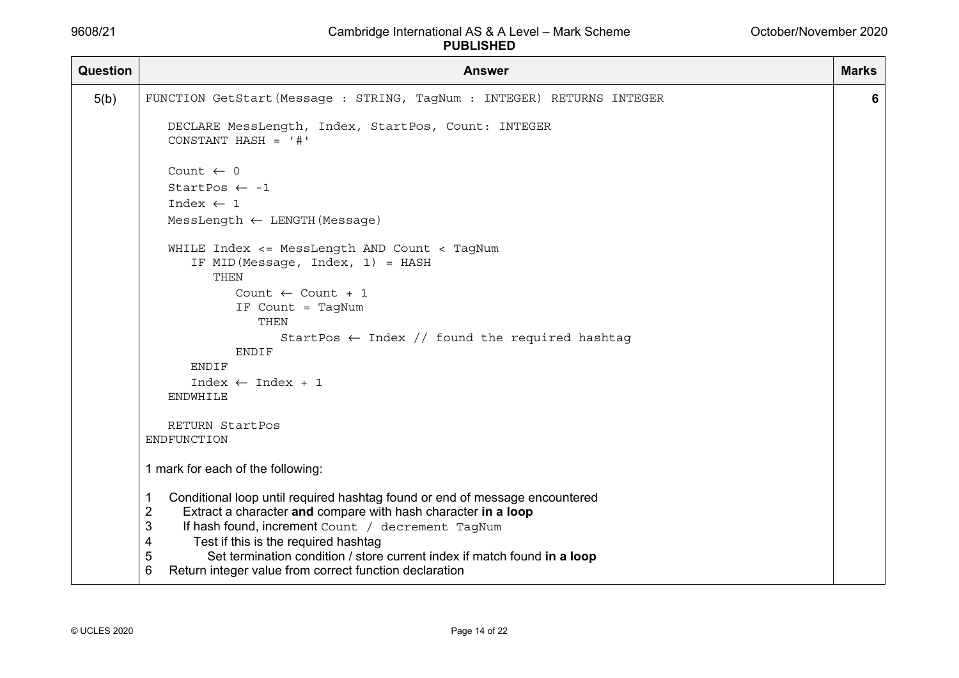| Question | <b>Answer</b>                                                                                                                                                                                                                                                                                                                                                                                                              | <b>Marks</b> |
|----------|----------------------------------------------------------------------------------------------------------------------------------------------------------------------------------------------------------------------------------------------------------------------------------------------------------------------------------------------------------------------------------------------------------------------------|--------------|
| 5(b)     | FUNCTION GetStart (Message : STRING, TagNum : INTEGER) RETURNS INTEGER                                                                                                                                                                                                                                                                                                                                                     | 6            |
|          | DECLARE MessLength, Index, StartPos, Count: INTEGER<br>CONSTANT HASH = $'$ #'                                                                                                                                                                                                                                                                                                                                              |              |
|          | Count $\leftarrow$ 0                                                                                                                                                                                                                                                                                                                                                                                                       |              |
|          | StartPos $\leftarrow -1$                                                                                                                                                                                                                                                                                                                                                                                                   |              |
|          | Index $\leftarrow$ 1                                                                                                                                                                                                                                                                                                                                                                                                       |              |
|          | Message)                                                                                                                                                                                                                                                                                                                                                                                                                   |              |
|          | WHILE Index <= MessLength AND Count < TagNum<br>IF MID (Message, Index, 1) = HASH<br>THEN<br>Count $\leftarrow$ Count + 1<br>IF Count = TagNum<br>THEN<br>StartPos $\leftarrow$ Index // found the required hashtag<br><b>ENDIF</b>                                                                                                                                                                                        |              |
|          | ENDIF                                                                                                                                                                                                                                                                                                                                                                                                                      |              |
|          | $Index \leftarrow Index + 1$<br><b>ENDWHILE</b>                                                                                                                                                                                                                                                                                                                                                                            |              |
|          | RETURN StartPos<br>ENDFUNCTION                                                                                                                                                                                                                                                                                                                                                                                             |              |
|          | 1 mark for each of the following:                                                                                                                                                                                                                                                                                                                                                                                          |              |
|          | Conditional loop until required hashtag found or end of message encountered<br>1<br>$\overline{2}$<br>Extract a character and compare with hash character in a loop<br>3<br>If hash found, increment Count / decrement TagNum<br>Test if this is the required hashtag<br>4<br>Set termination condition / store current index if match found in a loop<br>5<br>6<br>Return integer value from correct function declaration |              |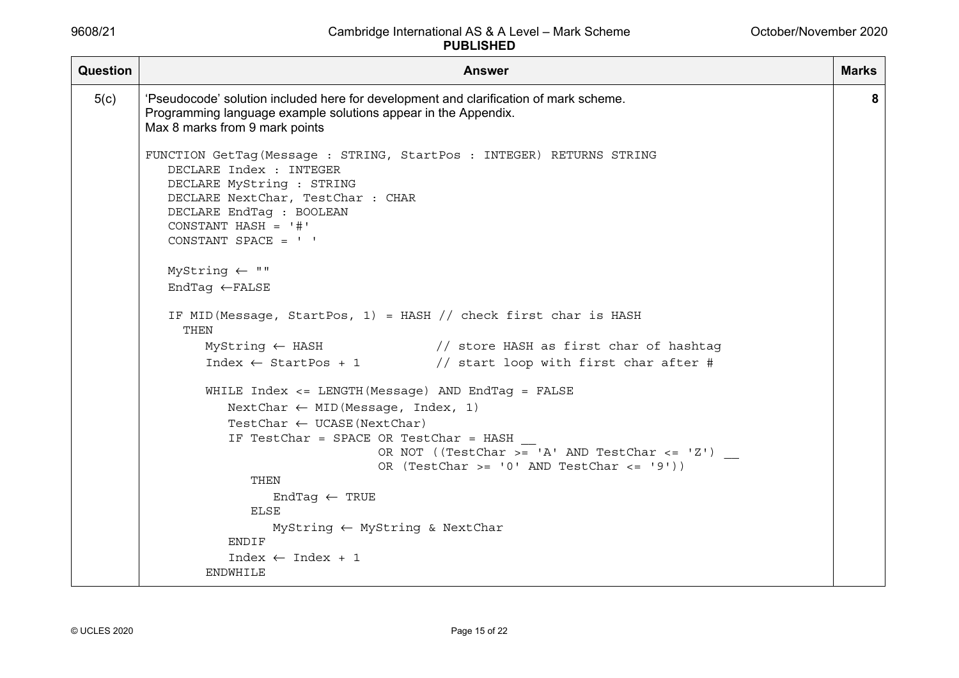| <b>Question</b> | <b>Answer</b>                                                                                                                                                                                                                                                                         | <b>Marks</b> |
|-----------------|---------------------------------------------------------------------------------------------------------------------------------------------------------------------------------------------------------------------------------------------------------------------------------------|--------------|
| 5(c)            | 'Pseudocode' solution included here for development and clarification of mark scheme.<br>Programming language example solutions appear in the Appendix.<br>Max 8 marks from 9 mark points                                                                                             | 8            |
|                 | FUNCTION GetTag (Message : STRING, StartPos : INTEGER) RETURNS STRING<br>DECLARE Index : INTEGER<br>DECLARE MyString : STRING<br>DECLARE NextChar, TestChar : CHAR<br>DECLARE EndTaq : BOOLEAN<br>CONSTANT HASH = $'$ #'<br>CONSTANT SPACE = $'$                                      |              |
|                 | $MyString \leftarrow "$<br>$EndTag \leftarrow FALSE$                                                                                                                                                                                                                                  |              |
|                 | IF MID (Message, StartPos, 1) = HASH $//$ check first char is HASH<br>THEN                                                                                                                                                                                                            |              |
|                 | MyString $\leftarrow$ HASH $\left/$ store HASH as first char of hashtag<br>Index $\leftarrow$ StartPos + 1 // start loop with first char after #                                                                                                                                      |              |
|                 | WHILE Index <= LENGTH (Message) AND EndTag = FALSE<br>NextChar $\leftarrow$ MID (Message, Index, 1)<br>TestChar $\leftarrow$ UCASE (NextChar)<br>IF TestChar = SPACE OR TestChar = HASH<br>OR NOT ((TestChar >= 'A' AND TestChar <= 'Z')<br>OR (TestChar >= '0' AND TestChar <= '9')) |              |
|                 | THEN<br>EndTag $\leftarrow$ TRUE<br><b>ELSE</b><br>$MyString \leftarrow MyString \& NextChar$<br>ENDIF                                                                                                                                                                                |              |
|                 | Index $\leftarrow$ Index + 1<br><b>ENDWHILE</b>                                                                                                                                                                                                                                       |              |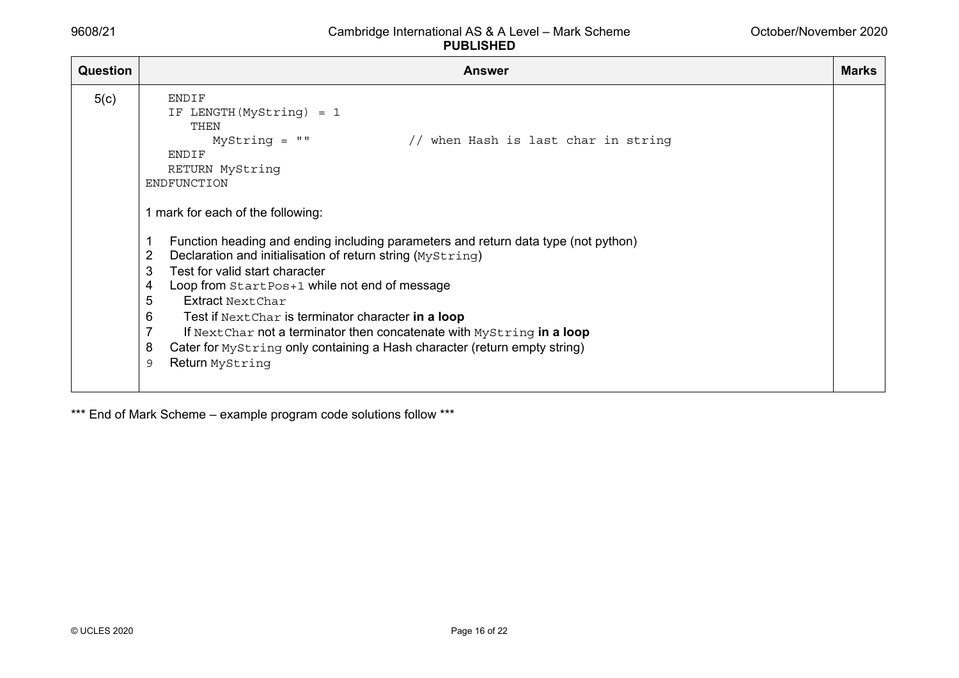| Question | <b>Answer</b>                                                                                                                                                                                                                                                                                                                                                                                                                                                                                                                                                                                                    | Marks |
|----------|------------------------------------------------------------------------------------------------------------------------------------------------------------------------------------------------------------------------------------------------------------------------------------------------------------------------------------------------------------------------------------------------------------------------------------------------------------------------------------------------------------------------------------------------------------------------------------------------------------------|-------|
| 5(c)     | <b>ENDIF</b><br>IF LENGTH (MyString) = 1<br>THEN<br>$MyString = ""$<br>// when Hash is last char in string<br>ENDIF<br>RETURN MyString<br>ENDFUNCTION<br>1 mark for each of the following:<br>Function heading and ending including parameters and return data type (not python)<br>Declaration and initialisation of return string (MyString)<br>2<br>Test for valid start character<br>3<br>Loop from StartPos+1 while not end of message<br>4<br>5<br>Extract Next Char<br>6<br>Test if Next Char is terminator character in a loop<br>If Next Char not a terminator then concatenate with Mystring in a loop |       |
|          | Cater for Mystring only containing a Hash character (return empty string)<br>8<br>Return MyString<br>9                                                                                                                                                                                                                                                                                                                                                                                                                                                                                                           |       |

\*\*\* End of Mark Scheme - example program code solutions follow \*\*\*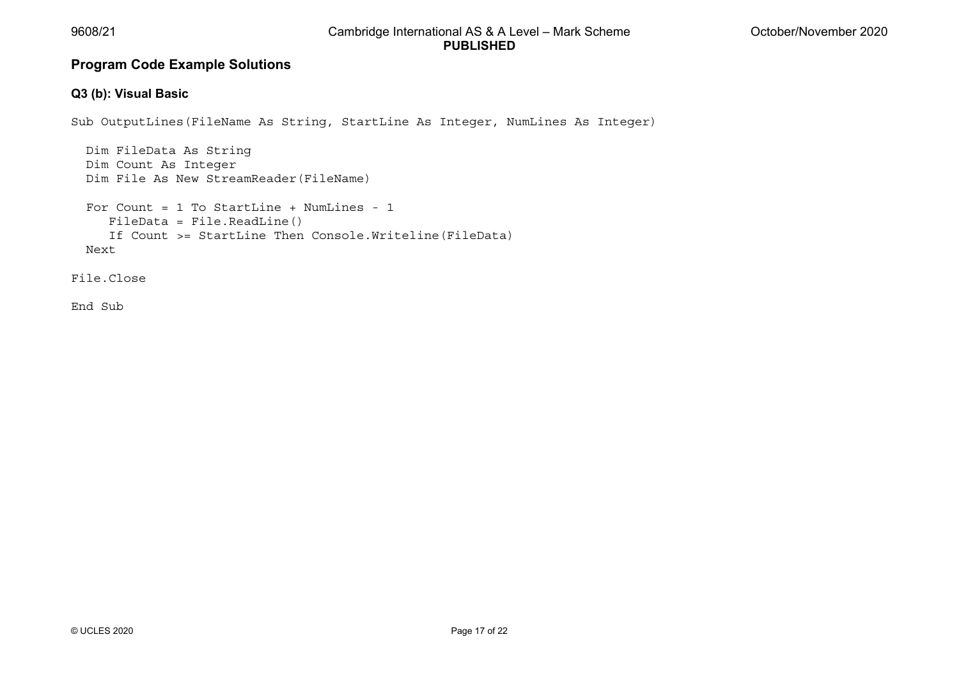# **Program Code Example Solutions**

## **Q3 (b): Visual Basic**

Sub OutputLines(FileName As String, StartLine As Integer, NumLines As Integer)

```
 Dim FileData As String 
  Dim Count As Integer 
  Dim File As New StreamReader(FileName) 
 For Count = 1 To StartLine + NumLines - 1 
     FileData = File.ReadLine() 
     If Count >= StartLine Then Console.Writeline(FileData) 
  Next
```
File.Close

End Sub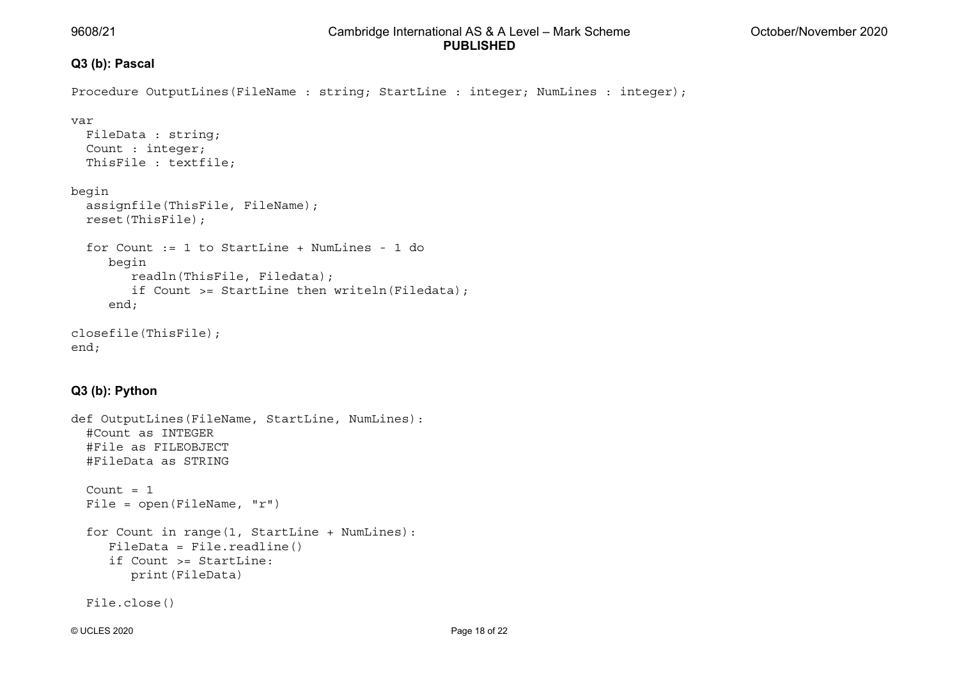# **Q3 (b): Pascal**

```
Procedure OutputLines(FileName : string; StartLine : integer; NumLines : integer);
var  FileData : string; 
   Count : integer; 
   ThisFile : textfile; 
begin 
   assignfile(ThisFile, FileName); 
   reset(ThisFile); 
 for Count := 1 to StartLine + NumLines - 1 do 
      begin 
         readln(ThisFile, Filedata); 
         if Count >= StartLine then writeln(Filedata); 
      end; 
closefile(ThisFile); 
end;
```
# **Q3 (b): Python**

```
def OutputLines(FileName, StartLine, NumLines): 
   #Count as INTEGER 
   #File as FILEOBJECT 
   #FileData as STRING 
  Count = 1File = open(FileName, "r")
   for Count in range(1, StartLine + NumLines): 
      FileData = File.readline() 
      if Count >= StartLine:  print(FileData) 
   File.close()
```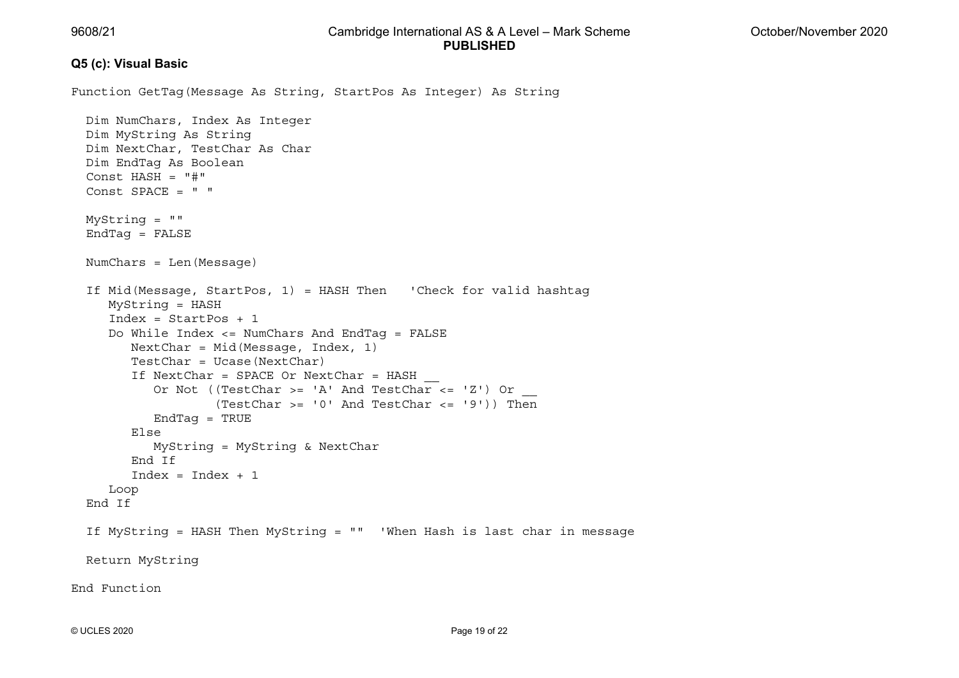#### **Q5 (c): Visual Basic**

Function GetTag(Message As String, StartPos As Integer) As String

```
 Dim NumChars, Index As Integer 
   Dim MyString As String 
   Dim NextChar, TestChar As Char 
   Dim EndTag As Boolean 
   Const HASH = "#" 
 Const SPACE = " " 
   MyString = "" 
  EndTaq = FALSE NumChars = Len(Message) 
   If Mid(Message, StartPos, 1) = HASH Then 'Check for valid hashtag 
      MyString = HASH 
 Index = StartPos + 1 
      Do While Index <= NumChars And EndTag = FALSE 
        NextChar = Mid(Messace, Index, 1) TestChar = Ucase(NextChar) 
        If NextChar = SPACE Or NextChar = HASHOr Not ((TestChar >= 'A' And TestChar <= 'Z') Or
                   (TestChar >= 10' And TestChar <= 19')) Then
            EndTag = TRUE 
         Else  MyString = MyString & NextChar 
         End If Index = Index + 1 Loop 
   End If If MyString = HASH Then MyString = "" 'When Hash is last char in message 
   Return MyString 
End Function
```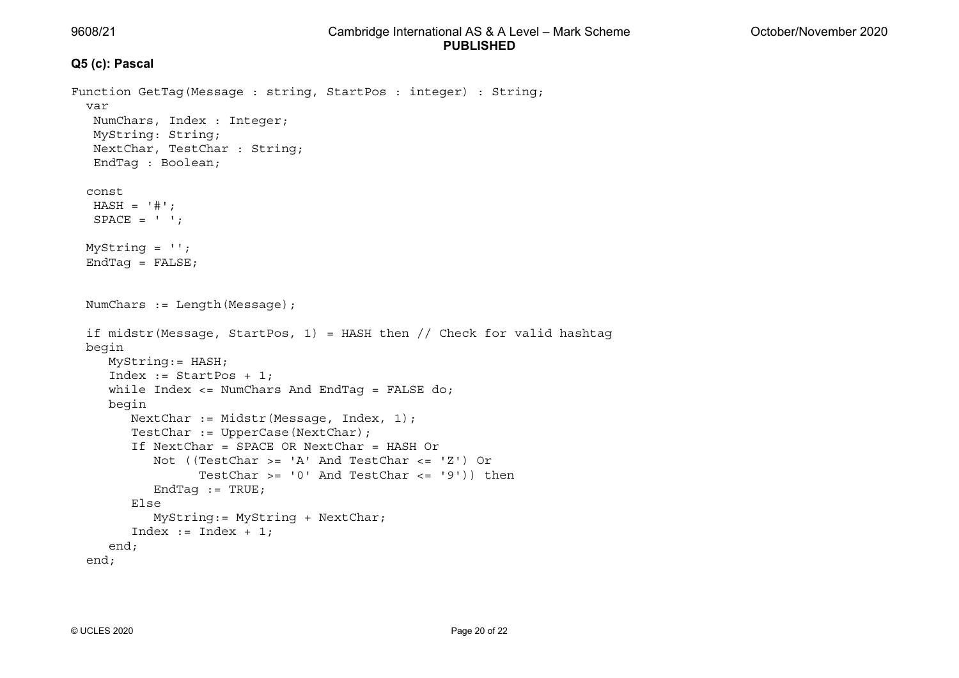#### **Q5 (c): Pascal**

```
Function GetTag(Message : string, StartPos : integer) : String; 
   var  NumChars, Index : Integer; 
   MyString: String; 
   NextChar, TestChar : String; 
   EndTag : Boolean; 
   const HASH = '#':SPACE = ' 'MyString = ";
  EndTag = FALSE; NumChars := Length(Message); 
  if midstr(Message, StartPos, 1) = HASH then // Check for valid hashtag
   begin 
     MyString:= HASH; 
      Index := StartPos + 1; 
     while Index \leq NumChars And EndTaq = FALSE do;
      begin 
        NextChar := Midstr(Message, Index, 1);
         TestChar := UpperCase(NextChar); 
 If NextChar = SPACE OR NextChar = HASH Or 
           Not ((TestChar >= 'A' And TestChar <= 'Z') Or
                 TestChar >= 10' And TestChar <= 19')) then
           EndTaq := TRUE;
         Else  MyString:= MyString + NextChar; 
        Index := Index + 1;
      end; 
   end;
```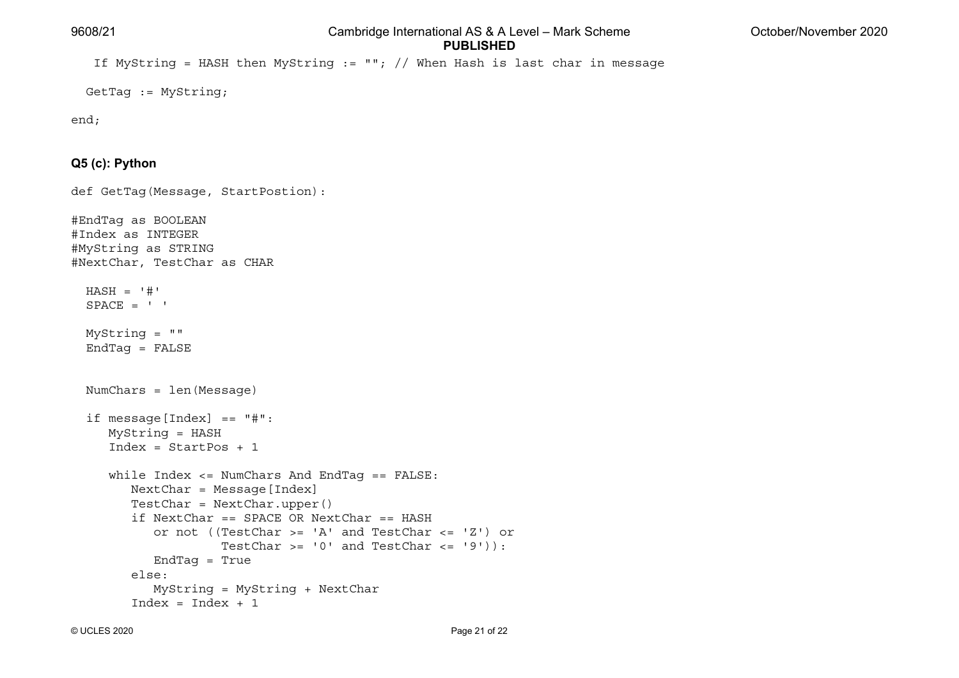If MyString = HASH then MyString  $:=$  ""; // When Hash is last char in message

GetTag := MyString;

```
end;
```
#### **Q5 (c): Python**

def GetTag(Message, StartPostion):

```
#EndTag as BOOLEAN 
#Index as INTEGER 
#MyString as STRING 
#NextChar, TestChar as CHAR 
  HASH = '#'SPACE = ' ' MyString = "" 
   EndTag = FALSE 
   NumChars = len(Message) 
   if message[Index] == "#": 
     MyString = HASH 
      Index = StartPos + 1  while Index <= NumChars And EndTag == FALSE: 
         NextChar = Message[Index] 
         TestChar = NextChar.upper() 
 if NextChar == SPACE OR NextChar == HASH 
            or not ((TestChar >= 'A' and TestChar <= 'Z') or 
                    TestChar >= 0' and TestChar <= 9'):
            EndTag = True 
 else: 
            MyString = MyString + NextChar 
        Index = Index + 1
```